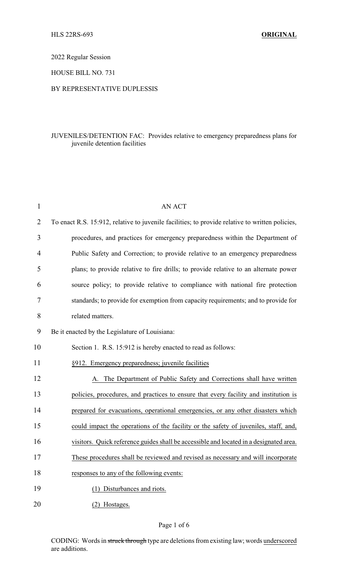2022 Regular Session

HOUSE BILL NO. 731

## BY REPRESENTATIVE DUPLESSIS

## JUVENILES/DETENTION FAC: Provides relative to emergency preparedness plans for juvenile detention facilities

| 1              | <b>AN ACT</b>                                                                                   |
|----------------|-------------------------------------------------------------------------------------------------|
| $\overline{2}$ | To enact R.S. 15:912, relative to juvenile facilities; to provide relative to written policies, |
| 3              | procedures, and practices for emergency preparedness within the Department of                   |
| 4              | Public Safety and Correction; to provide relative to an emergency preparedness                  |
| 5              | plans; to provide relative to fire drills; to provide relative to an alternate power            |
| 6              | source policy; to provide relative to compliance with national fire protection                  |
| 7              | standards; to provide for exemption from capacity requirements; and to provide for              |
| 8              | related matters.                                                                                |
| 9              | Be it enacted by the Legislature of Louisiana:                                                  |
| 10             | Section 1. R.S. 15:912 is hereby enacted to read as follows:                                    |
| 11             | §912. Emergency preparedness; juvenile facilities                                               |
| 12             | A. The Department of Public Safety and Corrections shall have written                           |
| 13             | policies, procedures, and practices to ensure that every facility and institution is            |
| 14             | prepared for evacuations, operational emergencies, or any other disasters which                 |
| 15             | could impact the operations of the facility or the safety of juveniles, staff, and,             |
| 16             | visitors. Quick reference guides shall be accessible and located in a designated area.          |
| 17             | These procedures shall be reviewed and revised as necessary and will incorporate                |
| 18             | responses to any of the following events:                                                       |
| 19             | (1) Disturbances and riots.                                                                     |
| 20             | (2) Hostages.                                                                                   |

CODING: Words in struck through type are deletions from existing law; words underscored are additions.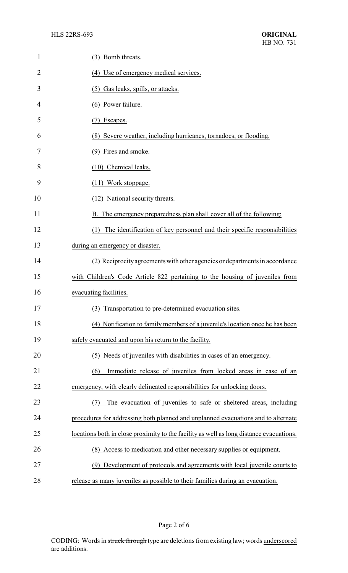| $\mathbf{1}$   | (3) Bomb threats.                                                                       |
|----------------|-----------------------------------------------------------------------------------------|
| $\overline{2}$ | (4) Use of emergency medical services.                                                  |
| 3              | (5) Gas leaks, spills, or attacks.                                                      |
| 4              | (6) Power failure.                                                                      |
| 5              | Escapes.<br>(7)                                                                         |
| 6              | (8) Severe weather, including hurricanes, tornadoes, or flooding.                       |
| 7              | (9) Fires and smoke.                                                                    |
| 8              | (10) Chemical leaks.                                                                    |
| 9              | (11) Work stoppage.                                                                     |
| 10             | (12) National security threats.                                                         |
| 11             | B. The emergency preparedness plan shall cover all of the following:                    |
| 12             | The identification of key personnel and their specific responsibilities<br>(1)          |
| 13             | during an emergency or disaster.                                                        |
| 14             | (2) Reciprocity agreements with other agencies or departments in accordance             |
| 15             | with Children's Code Article 822 pertaining to the housing of juveniles from            |
| 16             | evacuating facilities.                                                                  |
| 17             | Transportation to pre-determined evacuation sites.<br>(3)                               |
| 18             | (4) Notification to family members of a juvenile's location once he has been            |
| 19             | safely evacuated and upon his return to the facility.                                   |
| 20             | (5) Needs of juveniles with disabilities in cases of an emergency.                      |
| 21             | Immediate release of juveniles from locked areas in case of an<br>(6)                   |
| 22             | emergency, with clearly delineated responsibilities for unlocking doors.                |
| 23             | The evacuation of juveniles to safe or sheltered areas, including                       |
| 24             | procedures for addressing both planned and unplanned evacuations and to alternate       |
| 25             | locations both in close proximity to the facility as well as long distance evacuations. |
| 26             | (8) Access to medication and other necessary supplies or equipment.                     |
| 27             | (9) Development of protocols and agreements with local juvenile courts to               |
| 28             | release as many juveniles as possible to their families during an evacuation.           |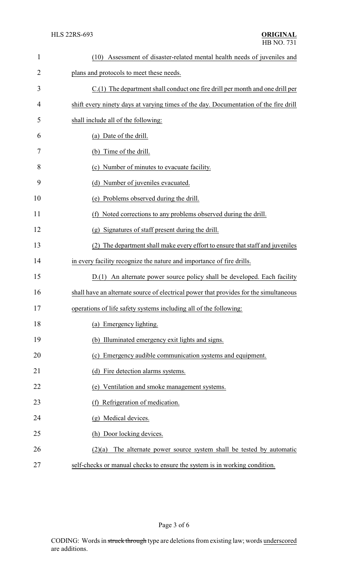| $\mathbf{1}$   | (10) Assessment of disaster-related mental health needs of juveniles and              |
|----------------|---------------------------------------------------------------------------------------|
| $\overline{2}$ | plans and protocols to meet these needs.                                              |
| 3              | $C(1)$ The department shall conduct one fire drill per month and one drill per        |
| $\overline{4}$ | shift every ninety days at varying times of the day. Documentation of the fire drill  |
| 5              | shall include all of the following:                                                   |
| 6              | (a) Date of the drill.                                                                |
| 7              | Time of the drill.<br>(b)                                                             |
| 8              | (c) Number of minutes to evacuate facility.                                           |
| 9              | (d) Number of juveniles evacuated.                                                    |
| 10             | (e) Problems observed during the drill.                                               |
| 11             | (f) Noted corrections to any problems observed during the drill.                      |
| 12             | Signatures of staff present during the drill.<br>$(\overline{g})$                     |
| 13             | The department shall make every effort to ensure that staff and juveniles<br>(2)      |
| 14             | in every facility recognize the nature and importance of fire drills.                 |
| 15             | D.(1) An alternate power source policy shall be developed. Each facility              |
| 16             | shall have an alternate source of electrical power that provides for the simultaneous |
| 17             | operations of life safety systems including all of the following:                     |
| 18             | (a) Emergency lighting.                                                               |
| 19             | (b) Illuminated emergency exit lights and signs.                                      |
| 20             | (c) Emergency audible communication systems and equipment.                            |
| 21             | (d) Fire detection alarms systems.                                                    |
| 22             | (e) Ventilation and smoke management systems.                                         |
| 23             | (f) Refrigeration of medication.                                                      |
| 24             | (g) Medical devices.                                                                  |
| 25             | (h) Door locking devices.                                                             |
| 26             | $(2)(a)$ The alternate power source system shall be tested by automatic               |
| 27             | self-checks or manual checks to ensure the system is in working condition.            |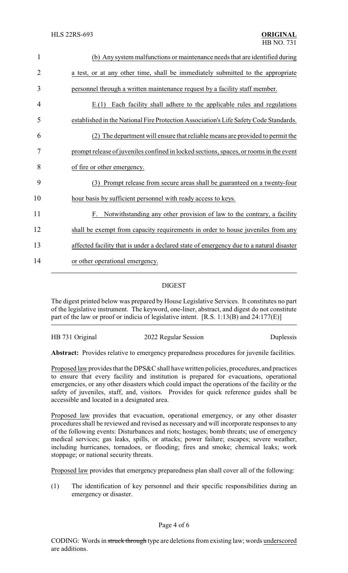| $\mathbf{1}$   | (b) Any system malfunctions or maintenance needs that are identified during             |
|----------------|-----------------------------------------------------------------------------------------|
| $\overline{2}$ | a test, or at any other time, shall be immediately submitted to the appropriate         |
| 3              | personnel through a written maintenance request by a facility staff member.             |
| 4              | $E(1)$ Each facility shall adhere to the applicable rules and regulations               |
| 5              | established in the National Fire Protection Association's Life Safety Code Standards.   |
| 6              | (2) The department will ensure that reliable means are provided to permit the           |
| 7              | prompt release of juveniles confined in locked sections, spaces, or rooms in the event  |
| 8              | of fire or other emergency.                                                             |
| 9              | Prompt release from secure areas shall be guaranteed on a twenty-four<br>(3)            |
| 10             | hour basis by sufficient personnel with ready access to keys.                           |
| 11             | F. Notwithstanding any other provision of law to the contrary, a facility               |
| 12             | shall be exempt from capacity requirements in order to house juveniles from any         |
| 13             | affected facility that is under a declared state of emergency due to a natural disaster |
| 14             | or other operational emergency.                                                         |
|                |                                                                                         |

## DIGEST

The digest printed below was prepared by House Legislative Services. It constitutes no part of the legislative instrument. The keyword, one-liner, abstract, and digest do not constitute part of the law or proof or indicia of legislative intent. [R.S. 1:13(B) and 24:177(E)]

HB 731 Original 2022 Regular Session Duplessis

**Abstract:** Provides relative to emergency preparedness procedures for juvenile facilities.

Proposed law provides that the DPS&C shall have written policies, procedures, and practices to ensure that every facility and institution is prepared for evacuations, operational emergencies, or any other disasters which could impact the operations of the facility or the safety of juveniles, staff, and, visitors. Provides for quick reference guides shall be accessible and located in a designated area.

Proposed law provides that evacuation, operational emergency, or any other disaster procedures shall be reviewed and revised as necessary and will incorporate responses to any of the following events: Disturbances and riots; hostages; bomb threats; use of emergency medical services; gas leaks, spills, or attacks; power failure; escapes; severe weather, including hurricanes, tornadoes, or flooding; fires and smoke; chemical leaks; work stoppage; or national security threats.

Proposed law provides that emergency preparedness plan shall cover all of the following:

(1) The identification of key personnel and their specific responsibilities during an emergency or disaster.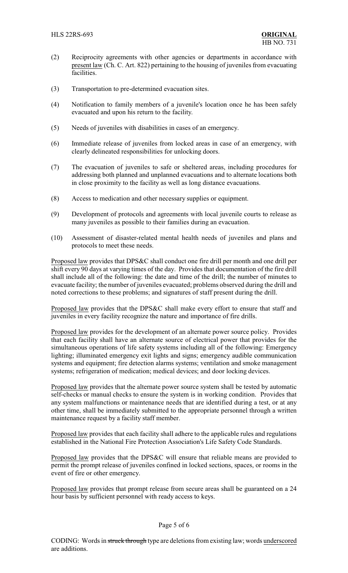- (2) Reciprocity agreements with other agencies or departments in accordance with present law (Ch. C. Art. 822) pertaining to the housing of juveniles from evacuating facilities.
- (3) Transportation to pre-determined evacuation sites.
- (4) Notification to family members of a juvenile's location once he has been safely evacuated and upon his return to the facility.
- (5) Needs of juveniles with disabilities in cases of an emergency.
- (6) Immediate release of juveniles from locked areas in case of an emergency, with clearly delineated responsibilities for unlocking doors.
- (7) The evacuation of juveniles to safe or sheltered areas, including procedures for addressing both planned and unplanned evacuations and to alternate locations both in close proximity to the facility as well as long distance evacuations.
- (8) Access to medication and other necessary supplies or equipment.
- (9) Development of protocols and agreements with local juvenile courts to release as many juveniles as possible to their families during an evacuation.
- (10) Assessment of disaster-related mental health needs of juveniles and plans and protocols to meet these needs.

Proposed law provides that DPS&C shall conduct one fire drill per month and one drill per shift every 90 days at varying times of the day. Provides that documentation of the fire drill shall include all of the following: the date and time of the drill; the number of minutes to evacuate facility; the number of juveniles evacuated; problems observed during the drill and noted corrections to these problems; and signatures of staff present during the drill.

Proposed law provides that the DPS&C shall make every effort to ensure that staff and juveniles in every facility recognize the nature and importance of fire drills.

Proposed law provides for the development of an alternate power source policy. Provides that each facility shall have an alternate source of electrical power that provides for the simultaneous operations of life safety systems including all of the following: Emergency lighting; illuminated emergency exit lights and signs; emergency audible communication systems and equipment; fire detection alarms systems; ventilation and smoke management systems; refrigeration of medication; medical devices; and door locking devices.

Proposed law provides that the alternate power source system shall be tested by automatic self-checks or manual checks to ensure the system is in working condition. Provides that any system malfunctions or maintenance needs that are identified during a test, or at any other time, shall be immediately submitted to the appropriate personnel through a written maintenance request by a facility staff member.

Proposed law provides that each facility shall adhere to the applicable rules and regulations established in the National Fire Protection Association's Life Safety Code Standards.

Proposed law provides that the DPS&C will ensure that reliable means are provided to permit the prompt release of juveniles confined in locked sections, spaces, or rooms in the event of fire or other emergency.

Proposed law provides that prompt release from secure areas shall be guaranteed on a 24 hour basis by sufficient personnel with ready access to keys.